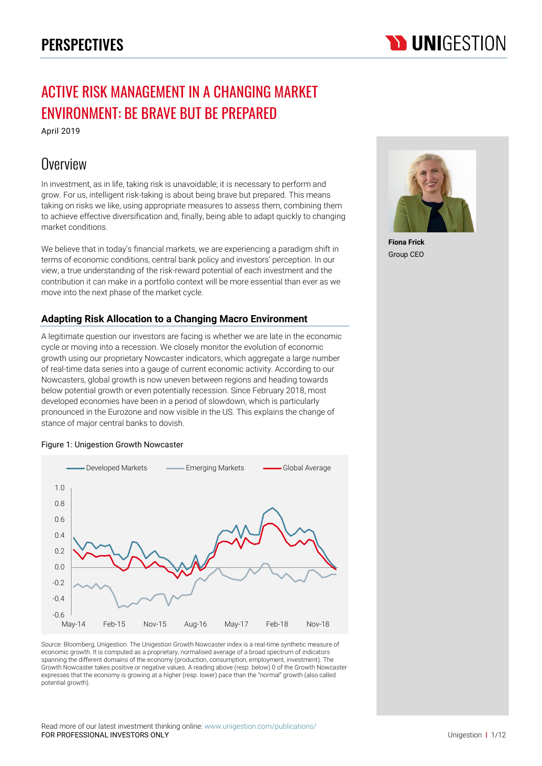# ACTIVE RISK MANAGEMENT IN A CHANGING MARKET ENVIRONMENT: BE BRAVE BUT BE PREPARED

April 2019

## **Overview**

In investment, as in life, taking risk is unavoidable; it is necessary to perform and grow. For us, intelligent risk-taking is about being brave but prepared. This means taking on risks we like, using appropriate measures to assess them, combining them to achieve effective diversification and, finally, being able to adapt quickly to changing market conditions.

We believe that in today's financial markets, we are experiencing a paradigm shift in terms of economic conditions, central bank policy and investors' perception. In our view, a true understanding of the risk-reward potential of each investment and the contribution it can make in a portfolio context will be more essential than ever as we move into the next phase of the market cycle.

## **Adapting Risk Allocation to a Changing Macro Environment**

A legitimate question our investors are facing is whether we are late in the economic cycle or moving into a recession. We closely monitor the evolution of economic growth using our proprietary Nowcaster indicators, which aggregate a large number of real-time data series into a gauge of current economic activity. According to our Nowcasters, global growth is now uneven between regions and heading towards below potential growth or even potentially recession. Since February 2018, most developed economies have been in a period of slowdown, which is particularly pronounced in the Eurozone and now visible in the US. This explains the change of stance of major central banks to dovish.

## Figure 1: Unigestion Growth Nowcaster



Source: Bloomberg, Unigestion. The Unigestion Growth Nowcaster index is a real-time synthetic measure of economic growth. It is computed as a proprietary, normalised average of a broad spectrum of indicators spanning the different domains of the economy (production, consumption, employment, investment). The Growth Nowcaster takes positive or negative values. A reading above (resp. below) 0 of the Growth Nowcaster expresses that the economy is growing at a higher (resp. lower) pace than the "normal" growth (also called potential growth).



**Fiona Frick** Group CEO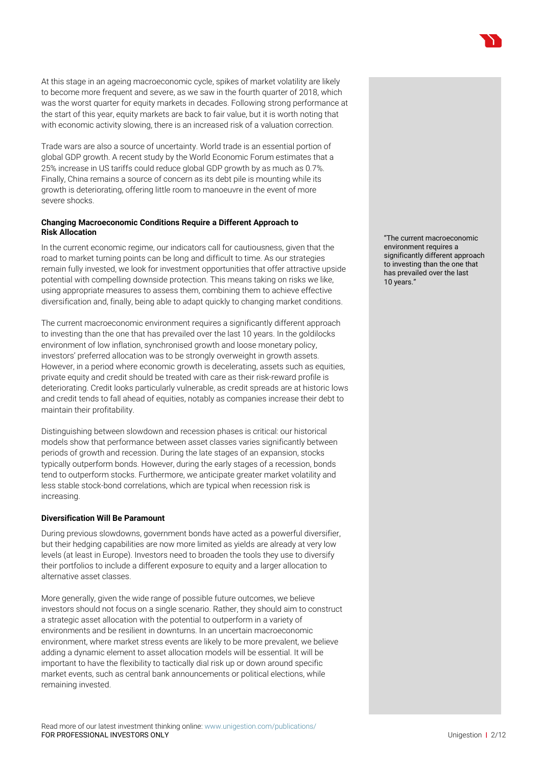At this stage in an ageing macroeconomic cycle, spikes of market volatility are likely to become more frequent and severe, as we saw in the fourth quarter of 2018, which was the worst quarter for equity markets in decades. Following strong performance at the start of this year, equity markets are back to fair value, but it is worth noting that with economic activity slowing, there is an increased risk of a valuation correction.

Trade wars are also a source of uncertainty. World trade is an essential portion of global GDP growth. A recent study by the World Economic Forum estimates that a 25% increase in US tariffs could reduce global GDP growth by as much as 0.7%. Finally, China remains a source of concern as its debt pile is mounting while its growth is deteriorating, offering little room to manoeuvre in the event of more severe shocks.

## **Changing Macroeconomic Conditions Require a Different Approach to Risk Allocation**

In the current economic regime, our indicators call for cautiousness, given that the road to market turning points can be long and difficult to time. As our strategies remain fully invested, we look for investment opportunities that offer attractive upside potential with compelling downside protection. This means taking on risks we like, using appropriate measures to assess them, combining them to achieve effective diversification and, finally, being able to adapt quickly to changing market conditions.

The current macroeconomic environment requires a significantly different approach to investing than the one that has prevailed over the last 10 years. In the goldilocks environment of low inflation, synchronised growth and loose monetary policy, investors' preferred allocation was to be strongly overweight in growth assets. However, in a period where economic growth is decelerating, assets such as equities, private equity and credit should be treated with care as their risk-reward profile is deteriorating. Credit looks particularly vulnerable, as credit spreads are at historic lows and credit tends to fall ahead of equities, notably as companies increase their debt to maintain their profitability.

Distinguishing between slowdown and recession phases is critical: our historical models show that performance between asset classes varies significantly between periods of growth and recession. During the late stages of an expansion, stocks typically outperform bonds. However, during the early stages of a recession, bonds tend to outperform stocks. Furthermore, we anticipate greater market volatility and less stable stock-bond correlations, which are typical when recession risk is increasing.

## **Diversification Will Be Paramount**

During previous slowdowns, government bonds have acted as a powerful diversifier, but their hedging capabilities are now more limited as yields are already at very low levels (at least in Europe). Investors need to broaden the tools they use to diversify their portfolios to include a different exposure to equity and a larger allocation to alternative asset classes.

More generally, given the wide range of possible future outcomes, we believe investors should not focus on a single scenario. Rather, they should aim to construct a strategic asset allocation with the potential to outperform in a variety of environments and be resilient in downturns. In an uncertain macroeconomic environment, where market stress events are likely to be more prevalent, we believe adding a dynamic element to asset allocation models will be essential. It will be important to have the flexibility to tactically dial risk up or down around specific market events, such as central bank announcements or political elections, while remaining invested.

"The current macroeconomic environment requires a significantly different approach to investing than the one that has prevailed over the last 10 years."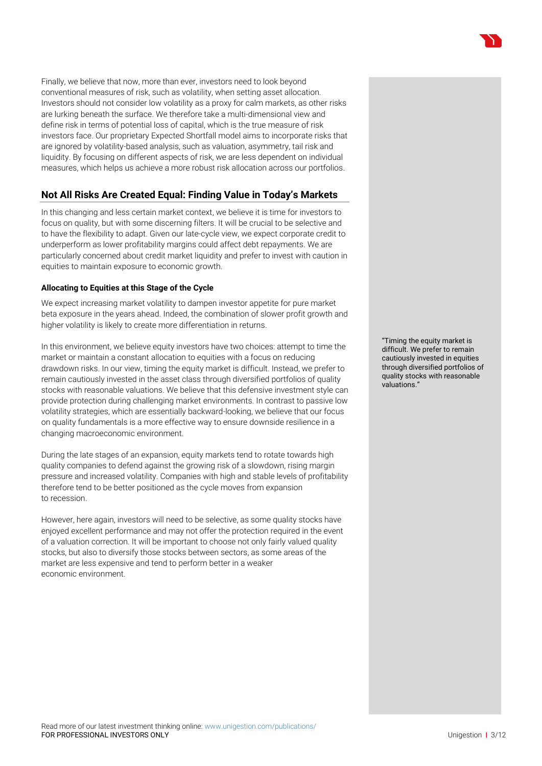Finally, we believe that now, more than ever, investors need to look beyond conventional measures of risk, such as volatility, when setting asset allocation. Investors should not consider low volatility as a proxy for calm markets, as other risks are lurking beneath the surface. We therefore take a multi-dimensional view and define risk in terms of potential loss of capital, which is the true measure of risk investors face. Our proprietary Expected Shortfall model aims to incorporate risks that are ignored by volatility-based analysis, such as valuation, asymmetry, tail risk and liquidity. By focusing on different aspects of risk, we are less dependent on individual measures, which helps us achieve a more robust risk allocation across our portfolios.

## **Not All Risks Are Created Equal: Finding Value in Today's Markets**

In this changing and less certain market context, we believe it is time for investors to focus on quality, but with some discerning filters. It will be crucial to be selective and to have the flexibility to adapt. Given our late-cycle view, we expect corporate credit to underperform as lower profitability margins could affect debt repayments. We are particularly concerned about credit market liquidity and prefer to invest with caution in equities to maintain exposure to economic growth.

## **Allocating to Equities at this Stage of the Cycle**

We expect increasing market volatility to dampen investor appetite for pure market beta exposure in the years ahead. Indeed, the combination of slower profit growth and higher volatility is likely to create more differentiation in returns.

In this environment, we believe equity investors have two choices: attempt to time the market or maintain a constant allocation to equities with a focus on reducing drawdown risks. In our view, timing the equity market is difficult. Instead, we prefer to remain cautiously invested in the asset class through diversified portfolios of quality stocks with reasonable valuations. We believe that this defensive investment style can provide protection during challenging market environments. In contrast to passive low volatility strategies, which are essentially backward-looking, we believe that our focus on quality fundamentals is a more effective way to ensure downside resilience in a changing macroeconomic environment.

During the late stages of an expansion, equity markets tend to rotate towards high quality companies to defend against the growing risk of a slowdown, rising margin pressure and increased volatility. Companies with high and stable levels of profitability therefore tend to be better positioned as the cycle moves from expansion to recession.

However, here again, investors will need to be selective, as some quality stocks have enjoyed excellent performance and may not offer the protection required in the event of a valuation correction. It will be important to choose not only fairly valued quality stocks, but also to diversify those stocks between sectors, as some areas of the market are less expensive and tend to perform better in a weaker economic environment.

"Timing the equity market is difficult. We prefer to remain cautiously invested in equities through diversified portfolios of quality stocks with reasonable valuations."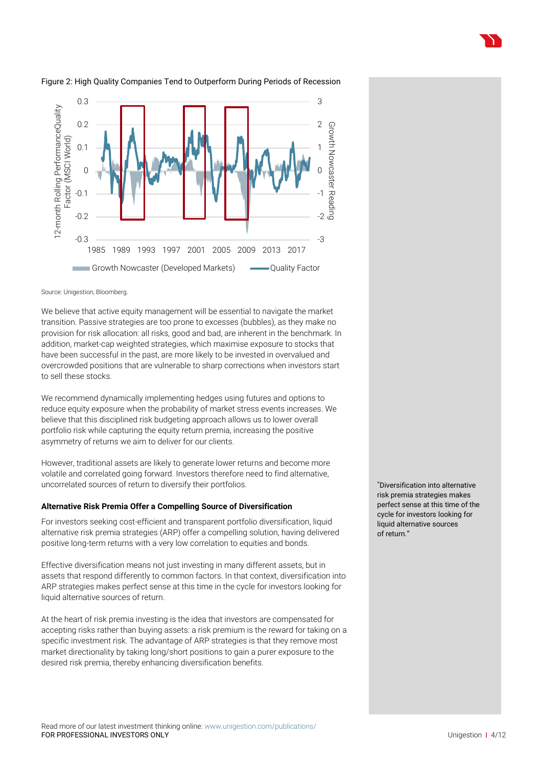

### Figure 2: High Quality Companies Tend to Outperform During Periods of Recession

Source: Unigestion, Bloomberg.

We believe that active equity management will be essential to navigate the market transition. Passive strategies are too prone to excesses (bubbles), as they make no provision for risk allocation: all risks, good and bad, are inherent in the benchmark. In addition, market-cap weighted strategies, which maximise exposure to stocks that have been successful in the past, are more likely to be invested in overvalued and overcrowded positions that are vulnerable to sharp corrections when investors start to sell these stocks.

We recommend dynamically implementing hedges using futures and options to reduce equity exposure when the probability of market stress events increases. We believe that this disciplined risk budgeting approach allows us to lower overall portfolio risk while capturing the equity return premia, increasing the positive asymmetry of returns we aim to deliver for our clients.

However, traditional assets are likely to generate lower returns and become more volatile and correlated going forward. Investors therefore need to find alternative, uncorrelated sources of return to diversify their portfolios.

#### **Alternative Risk Premia Offer a Compelling Source of Diversification**

For investors seeking cost-efficient and transparent portfolio diversification, liquid alternative risk premia strategies (ARP) offer a compelling solution, having delivered positive long-term returns with a very low correlation to equities and bonds.

Effective diversification means not just investing in many different assets, but in assets that respond differently to common factors. In that context, diversification into ARP strategies makes perfect sense at this time in the cycle for investors looking for liquid alternative sources of return.

At the heart of risk premia investing is the idea that investors are compensated for accepting risks rather than buying assets: a risk premium is the reward for taking on a specific investment risk. The advantage of ARP strategies is that they remove most market directionality by taking long/short positions to gain a purer exposure to the desired risk premia, thereby enhancing diversification benefits.

"Diversification into alternative risk premia strategies makes perfect sense at this time of the cycle for investors looking for liquid alternative sources of return."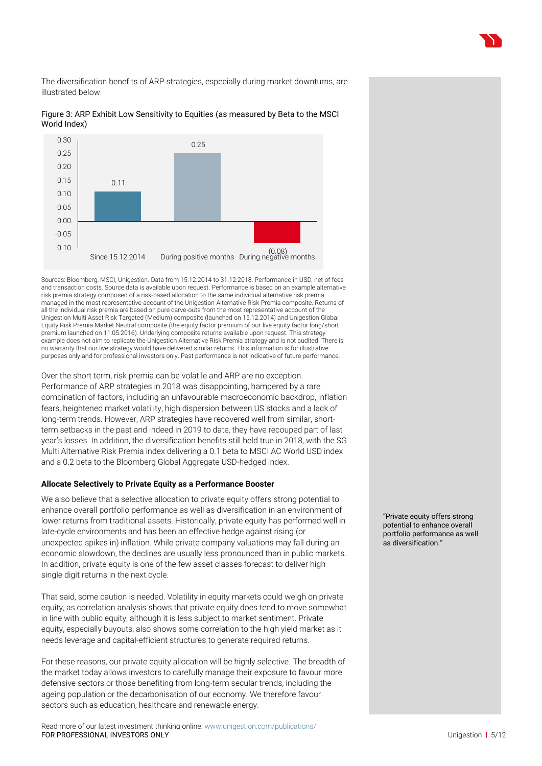The diversification benefits of ARP strategies, especially during market downturns, are illustrated below.





Sources: Bloomberg, MSCI, Unigestion. Data from 15.12.2014 to 31.12.2018. Performance in USD, net of fees and transaction costs. Source data is available upon request. Performance is based on an example alternative risk premia strategy composed of a risk-based allocation to the same individual alternative risk premia managed in the most representative account of the Unigestion Alternative Risk Premia composite. Returns of all the individual risk premia are based on pure carve-outs from the most representative account of the Unigestion Multi Asset Risk Targeted (Medium) composite (launched on 15.12.2014) and Unigestion Global Equity Risk Premia Market Neutral composite (the equity factor premium of our live equity factor long/short premium launched on 11.05.2016). Underlying composite returns available upon request. This strategy example does not aim to replicate the Unigestion Alternative Risk Premia strategy and is not audited. There is no warranty that our live strategy would have delivered similar returns. This information is for illustrative purposes only and for professional investors only. Past performance is not indicative of future performance.

Over the short term, risk premia can be volatile and ARP are no exception. Performance of ARP strategies in 2018 was disappointing, hampered by a rare combination of factors, including an unfavourable macroeconomic backdrop, inflation fears, heightened market volatility, high dispersion between US stocks and a lack of long-term trends. However, ARP strategies have recovered well from similar, shortterm setbacks in the past and indeed in 2019 to date, they have recouped part of last year's losses. In addition, the diversification benefits still held true in 2018, with the SG Multi Alternative Risk Premia index delivering a 0.1 beta to MSCI AC World USD index and a 0.2 beta to the Bloomberg Global Aggregate USD-hedged index.

## **Allocate Selectively to Private Equity as a Performance Booster**

We also believe that a selective allocation to private equity offers strong potential to enhance overall portfolio performance as well as diversification in an environment of lower returns from traditional assets. Historically, private equity has performed well in late-cycle environments and has been an effective hedge against rising (or unexpected spikes in) inflation. While private company valuations may fall during an economic slowdown, the declines are usually less pronounced than in public markets. In addition, private equity is one of the few asset classes forecast to deliver high single digit returns in the next cycle.

That said, some caution is needed. Volatility in equity markets could weigh on private equity, as correlation analysis shows that private equity does tend to move somewhat in line with public equity, although it is less subject to market sentiment. Private equity, especially buyouts, also shows some correlation to the high yield market as it needs leverage and capital-efficient structures to generate required returns.

For these reasons, our private equity allocation will be highly selective. The breadth of the market today allows investors to carefully manage their exposure to favour more defensive sectors or those benefiting from long-term secular trends, including the ageing population or the decarbonisation of our economy. We therefore favour sectors such as education, healthcare and renewable energy.

"Private equity offers strong potential to enhance overall portfolio performance as well as diversification."

Read more of our latest investment thinking online[: www.unigestion.com/publications/](http://www.unigestion.com/publications/) FOR PROFESSIONAL INVESTORS ONLY **EXAMPLE 2008** THE STATE STATE STATE IN THE STATE STATE IN THE STATE STATE IN THE STATE STATE IN THE STATE STATE IN THE STATE IN THE STATE IN THE STATE IN THE STATE IN THE STATE IN THE STATE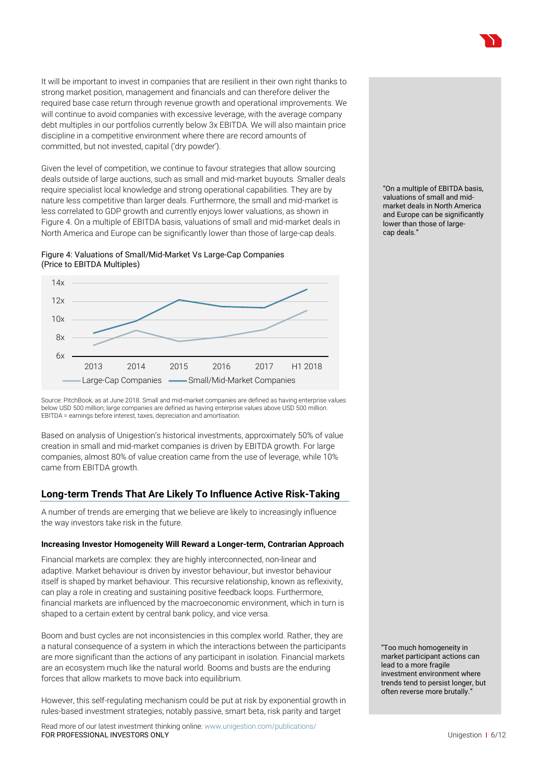It will be important to invest in companies that are resilient in their own right thanks to strong market position, management and financials and can therefore deliver the required base case return through revenue growth and operational improvements. We will continue to avoid companies with excessive leverage, with the average company debt multiples in our portfolios currently below 3x EBITDA. We will also maintain price discipline in a competitive environment where there are record amounts of committed, but not invested, capital ('dry powder').

Given the level of competition, we continue to favour strategies that allow sourcing deals outside of large auctions, such as small and mid-market buyouts. Smaller deals require specialist local knowledge and strong operational capabilities. They are by nature less competitive than larger deals. Furthermore, the small and mid-market is less correlated to GDP growth and currently enjoys lower valuations, as shown in Figure 4. On a multiple of EBITDA basis, valuations of small and mid-market deals in North America and Europe can be significantly lower than those of large-cap deals.

#### Figure 4: Valuations of Small/Mid-Market Vs Large-Cap Companies (Price to EBITDA Multiples)



Source: PitchBook, as at June 2018. Small and mid-market companies are defined as having enterprise values below USD 500 million; large companies are defined as having enterprise values above USD 500 million. EBITDA = earnings before interest, taxes, depreciation and amortisation.

Based on analysis of Unigestion's historical investments, approximately 50% of value creation in small and mid-market companies is driven by EBITDA growth. For large companies, almost 80% of value creation came from the use of leverage, while 10% came from EBITDA growth.

## **Long-term Trends That Are Likely To Influence Active Risk-Taking**

A number of trends are emerging that we believe are likely to increasingly influence the way investors take risk in the future.

## **Increasing Investor Homogeneity Will Reward a Longer-term, Contrarian Approach**

[Financial markets are complex: they a](https://www.thinkingaheadinstitute.org/en/Library/Public/Research-and-Ideas/2016/07/Stronger-investment-theory)re highly interconnected, non-linear and adaptive. Market behaviour is driven by investor behaviour, but investor behaviour itself is shaped by market behaviour. This recursive relationship, known as reflexivity, can play a role in creating and sustaining positive feedback loops. Furthermore, financial markets are influenced by the macroeconomic environment, which in turn is shaped to a certain extent by central bank policy, and vice versa.

Boom and bust cycles are not inconsistencies in this complex world. Rather, they are a natural consequence of a system in which the interactions between the participants are more significant than the actions of any participant in isolation. Financial markets are an ecosystem much like the natural world. Booms and busts are the enduring forces that allow markets to move back into equilibrium.

However, this self-regulating mechanism could be put at risk by exponential growth in rules-based investment strategies, notably passive, smart beta, risk parity and target

"On a multiple of EBITDA basis, valuations of small and midmarket deals in North America and Europe can be significantly lower than those of largecap deals."

"Too much homogeneity in market participant actions can lead to a more fragile investment environment where trends tend to persist longer, but often reverse more brutally."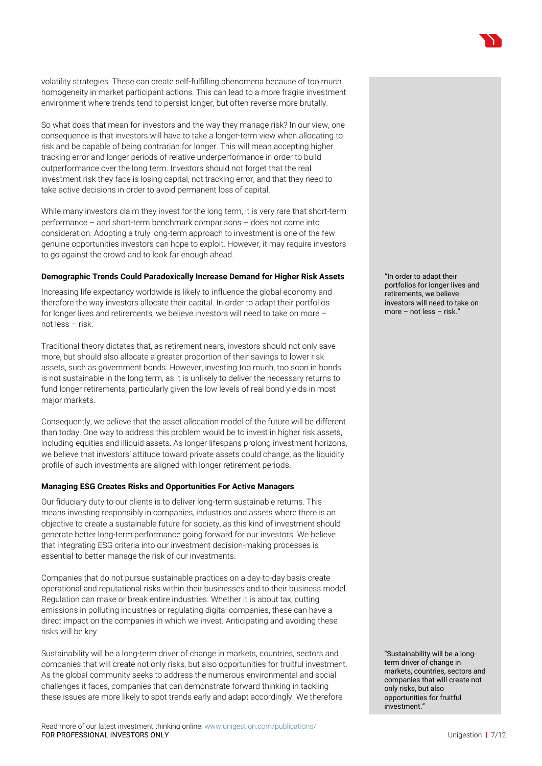volatility strategies. These can create self-fulfilling phenomena because of too much homogeneity in market participant actions. This can lead to a more fragile investment environment where trends tend to persist longer, but often reverse more brutally.

So what does that mean for investors and the way they manage risk? In our view, one consequence is that investors will have to take a longer-term view when allocating to risk and be capable of being contrarian for longer. This will mean accepting higher tracking error and longer periods of relative underperformance in order to build outperformance over the long term. Investors should not forget that the real investment risk they face is losing capital, not tracking error, and that they need to take active decisions in order to avoid permanent loss of capital.

While many investors claim they invest for the long term, it is very rare that short-term performance – and short-term benchmark comparisons – does not come into consideration. Adopting a truly long-term approach to investment is one of the few genuine opportunities investors can hope to exploit. However, it may require investors to go against the crowd and to look far enough ahead.

## **Demographic Trends Could Paradoxically Increase Demand for Higher Risk Assets**

Increasing life expectancy worldwide is likely to influence the global economy and therefore the way investors allocate their capital. In order to adapt their portfolios for longer lives and retirements, we believe investors will need to take on more not less – risk.

Traditional theory dictates that, as retirement nears, investors should not only save more, but should also allocate a greater proportion of their savings to lower risk assets, such as government bonds. However, investing too much, too soon in bonds is not sustainable in the long term, as it is unlikely to deliver the necessary returns to fund longer retirements, particularly given the low levels of real bond yields in most major markets.

Consequently, we believe that the asset allocation model of the future will be different than today. One way to address this problem would be to invest in higher risk assets, including equities and illiquid assets. As longer lifespans prolong investment horizons, we believe that investors' attitude toward private assets could change, as the liquidity profile of such investments are aligned with longer retirement periods.

## **Managing ESG Creates Risks and Opportunities For Active Managers**

Our fiduciary duty to our clients is to deliver long-term sustainable returns. This means investing responsibly in companies, industries and assets where there is an objective to create a sustainable future for society, as this kind of investment should generate better long-term performance going forward for our investors. We believe that integrating ESG criteria into our investment decision-making processes is essential to better manage the risk of our investments.

Companies that do not pursue sustainable practices on a day-to-day basis create operational and reputational risks within their businesses and to their business model. Regulation can make or break entire industries. Whether it is about tax, cutting emissions in polluting industries or regulating digital companies, these can have a direct impact on the companies in which we invest. Anticipating and avoiding these risks will be key.

Sustainability will be a long-term driver of change in markets, countries, sectors and companies that will create not only risks, but also opportunities for fruitful investment. As the global community seeks to address the numerous environmental and social challenges it faces, companies that can demonstrate forward thinking in tackling these issues are more likely to spot trends early and adapt accordingly. We therefore

"In order to adapt their portfolios for longer lives and retirements, we believe investors will need to take on more – not less – risk."

"Sustainability will be a longterm driver of change in markets, countries, sectors and companies that will create not only risks, but also opportunities for fruitful investment."

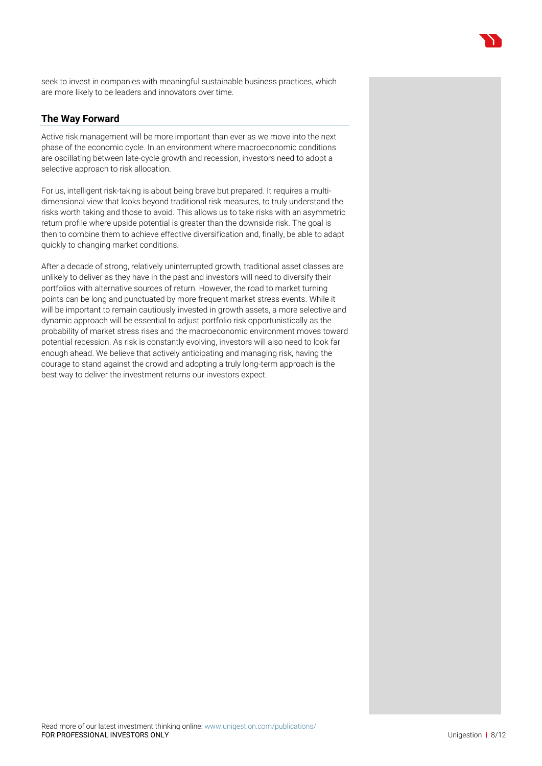seek to invest in companies with meaningful sustainable business practices, which are more likely to be leaders and innovators over time.

## **The Way Forward**

Active risk management will be more important than ever as we move into the next phase of the economic cycle. In an environment where macroeconomic conditions are oscillating between late-cycle growth and recession, investors need to adopt a selective approach to risk allocation.

For us, intelligent risk-taking is about being brave but prepared. It requires a multidimensional view that looks beyond traditional risk measures, to truly understand the risks worth taking and those to avoid. This allows us to take risks with an asymmetric return profile where upside potential is greater than the downside risk. The goal is then to combine them to achieve effective diversification and, finally, be able to adapt quickly to changing market conditions.

After a decade of strong, relatively uninterrupted growth, traditional asset classes are unlikely to deliver as they have in the past and investors will need to diversify their portfolios with alternative sources of return. However, the road to market turning points can be long and punctuated by more frequent market stress events. While it will be important to remain cautiously invested in growth assets, a more selective and dynamic approach will be essential to adjust portfolio risk opportunistically as the probability of market stress rises and the macroeconomic environment moves toward potential recession. As risk is constantly evolving, investors will also need to look far enough ahead. We believe that actively anticipating and managing risk, having the courage to stand against the crowd and adopting a truly long-term approach is the best way to deliver the investment returns our investors expect.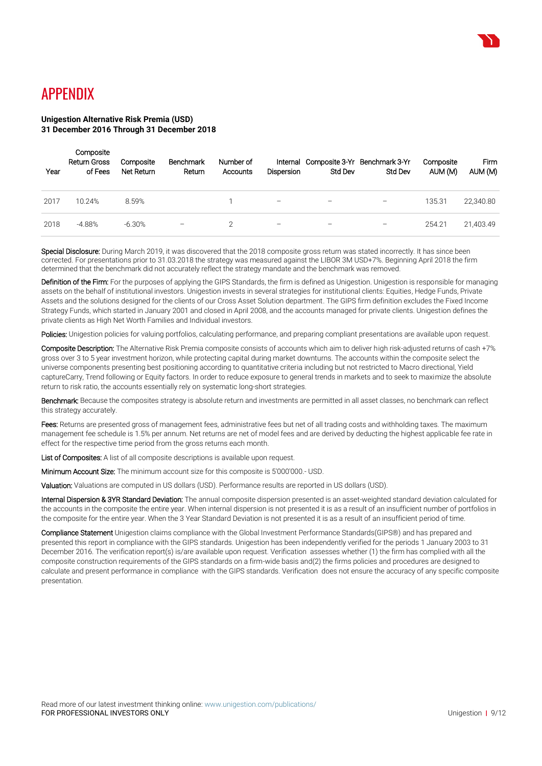## APPENDIX

## **Unigestion Alternative Risk Premia (USD) 31 December 2016 Through 31 December 2018**

| Year | Composite<br>Return Gross<br>of Fees | Composite<br>Net Return | <b>Benchmark</b><br>Return | Number of<br>Accounts | Dispersion               | Std Dev           | Internal Composite 3-Yr Benchmark 3-Yr<br>Std Dev | Composite<br>AUM (M) | Firm<br>AUM (M) |
|------|--------------------------------------|-------------------------|----------------------------|-----------------------|--------------------------|-------------------|---------------------------------------------------|----------------------|-----------------|
| 2017 | 10.24%                               | 8.59%                   |                            |                       | $\overline{\phantom{m}}$ |                   |                                                   | 135.31               | 22.340.80       |
| 2018 | $-4.88%$                             | $-6.30\%$               | $\qquad \qquad -$          |                       | $\qquad \qquad -$        | $\hspace{0.05cm}$ | $\overline{\phantom{0}}$                          | 254.21               | 21.403.49       |

Special Disclosure: During March 2019, it was discovered that the 2018 composite gross return was stated incorrectly. It has since been corrected. For presentations prior to 31.03.2018 the strategy was measured against the LIBOR 3M USD+7%. Beginning April 2018 the firm determined that the benchmark did not accurately reflect the strategy mandate and the benchmark was removed.

Definition of the Firm: For the purposes of applying the GIPS Standards, the firm is defined as Unigestion. Unigestion is responsible for managing assets on the behalf of institutional investors. Unigestion invests in several strategies for institutional clients: Equities, Hedge Funds, Private Assets and the solutions designed for the clients of our Cross Asset Solution department. The GIPS firm definition excludes the Fixed Income Strategy Funds, which started in January 2001 and closed in April 2008, and the accounts managed for private clients. Unigestion defines the private clients as High Net Worth Families and Individual investors.

Policies: Unigestion policies for valuing portfolios, calculating performance, and preparing compliant presentations are available upon request.

Composite Description: The Alternative Risk Premia composite consists of accounts which aim to deliver high risk-adjusted returns of cash +7% gross over 3 to 5 year investment horizon, while protecting capital during market downturns. The accounts within the composite select the universe components presenting best positioning according to quantitative criteria including but not restricted to Macro directional, Yield captureCarry, Trend following or Equity factors. In order to reduce exposure to general trends in markets and to seek to maximize the absolute return to risk ratio, the accounts essentially rely on systematic long-short strategies.

Benchmark: Because the composites strategy is absolute return and investments are permitted in all asset classes, no benchmark can reflect this strategy accurately.

Fees: Returns are presented gross of management fees, administrative fees but net of all trading costs and withholding taxes. The maximum management fee schedule is 1.5% per annum. Net returns are net of model fees and are derived by deducting the highest applicable fee rate in effect for the respective time period from the gross returns each month.

List of Composites: A list of all composite descriptions is available upon request.

Minimum Account Size: The minimum account size for this composite is 5'000'000.- USD.

Valuation: Valuations are computed in US dollars (USD). Performance results are reported in US dollars (USD).

Internal Dispersion & 3YR Standard Deviation: The annual composite dispersion presented is an asset-weighted standard deviation calculated for the accounts in the composite the entire year. When internal dispersion is not presented it is as a result of an insufficient number of portfolios in the composite for the entire year. When the 3 Year Standard Deviation is not presented it is as a result of an insufficient period of time.

Compliance Statement Unigestion claims compliance with the Global Investment Performance Standards(GIPS®) and has prepared and presented this report in compliance with the GIPS standards. Unigestion has been independently verified for the periods 1 January 2003 to 31 December 2016. The verification report(s) is/are available upon request. Verification assesses whether (1) the firm has complied with all the composite construction requirements of the GIPS standards on a firm-wide basis and(2) the firms policies and procedures are designed to calculate and present performance in compliance with the GIPS standards. Verification does not ensure the accuracy of any specific composite presentation.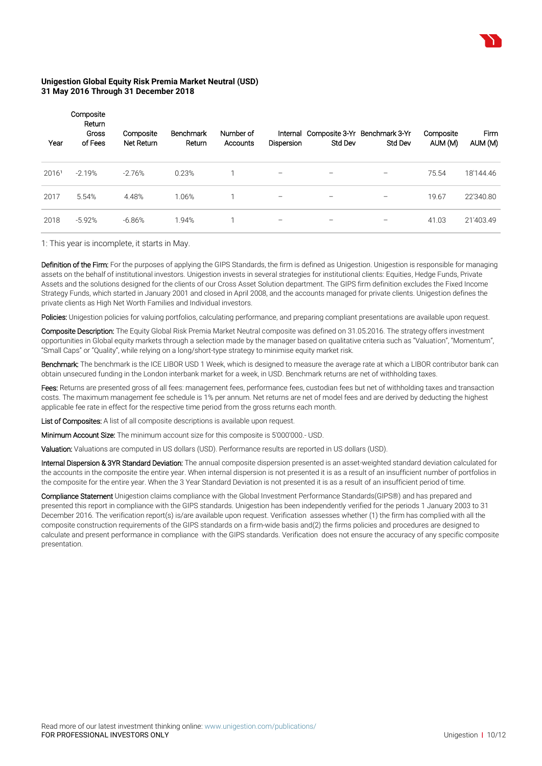#### **Unigestion Global Equity Risk Premia Market Neutral (USD) 31 May 2016 Through 31 December 2018**

| Year  | Composite<br>Return<br>Gross<br>of Fees | Composite<br>Net Return | <b>Benchmark</b><br>Return | Number of<br>Accounts | Dispersion               | Std Dev                  | Internal Composite 3-Yr Benchmark 3-Yr<br>Std Dev | Composite<br>AUM (M) | Firm<br>AUM (M) |
|-------|-----------------------------------------|-------------------------|----------------------------|-----------------------|--------------------------|--------------------------|---------------------------------------------------|----------------------|-----------------|
| 20161 | $-2.19%$                                | $-2.76%$                | 0.23%                      |                       | $\overline{\phantom{0}}$ | -                        |                                                   | 75.54                | 18'144.46       |
| 2017  | 5.54%                                   | 4.48%                   | 1.06%                      |                       |                          |                          |                                                   | 19.67                | 22'340.80       |
| 2018  | $-5.92\%$                               | $-6.86%$                | 1.94%                      |                       | $\qquad \qquad$          | $\overline{\phantom{0}}$ |                                                   | 41.03                | 21'403.49       |

1: This year is incomplete, it starts in May.

Definition of the Firm: For the purposes of applying the GIPS Standards, the firm is defined as Unigestion. Unigestion is responsible for managing assets on the behalf of institutional investors. Unigestion invests in several strategies for institutional clients: Equities, Hedge Funds, Private Assets and the solutions designed for the clients of our Cross Asset Solution department. The GIPS firm definition excludes the Fixed Income Strategy Funds, which started in January 2001 and closed in April 2008, and the accounts managed for private clients. Unigestion defines the private clients as High Net Worth Families and Individual investors.

Policies: Unigestion policies for valuing portfolios, calculating performance, and preparing compliant presentations are available upon request.

Composite Description: The Equity Global Risk Premia Market Neutral composite was defined on 31.05.2016. The strategy offers investment opportunities in Global equity markets through a selection made by the manager based on qualitative criteria such as "Valuation", "Momentum", "Small Caps" or "Quality", while relying on a long/short-type strategy to minimise equity market risk.

Benchmark: The benchmark is the ICE LIBOR USD 1 Week, which is designed to measure the average rate at which a LIBOR contributor bank can obtain unsecured funding in the London interbank market for a week, in USD. Benchmark returns are net of withholding taxes.

Fees: Returns are presented gross of all fees: management fees, performance fees, custodian fees but net of withholding taxes and transaction costs. The maximum management fee schedule is 1% per annum. Net returns are net of model fees and are derived by deducting the highest applicable fee rate in effect for the respective time period from the gross returns each month.

List of Composites: A list of all composite descriptions is available upon request.

Minimum Account Size: The minimum account size for this composite is 5'000'000.- USD.

Valuation: Valuations are computed in US dollars (USD). Performance results are reported in US dollars (USD).

Internal Dispersion & 3YR Standard Deviation: The annual composite dispersion presented is an asset-weighted standard deviation calculated for the accounts in the composite the entire year. When internal dispersion is not presented it is as a result of an insufficient number of portfolios in the composite for the entire year. When the 3 Year Standard Deviation is not presented it is as a result of an insufficient period of time.

Compliance Statement Unigestion claims compliance with the Global Investment Performance Standards(GIPS®) and has prepared and presented this report in compliance with the GIPS standards. Unigestion has been independently verified for the periods 1 January 2003 to 31 December 2016. The verification report(s) is/are available upon request. Verification assesses whether (1) the firm has complied with all the composite construction requirements of the GIPS standards on a firm-wide basis and(2) the firms policies and procedures are designed to calculate and present performance in compliance with the GIPS standards. Verification does not ensure the accuracy of any specific composite presentation.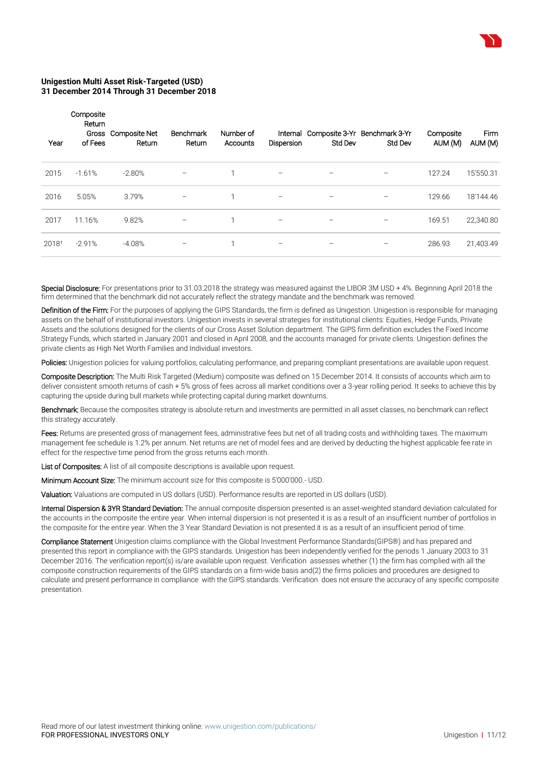#### **Unigestion Multi Asset Risk-Targeted (USD) 31 December 2014 Through 31 December 2018**

| Year  | Composite<br>Return<br>of Fees | Gross Composite Net<br>Return | Benchmark<br>Return      | Number of<br>Accounts | Dispersion               | Std Dev | Internal Composite 3-Yr Benchmark 3-Yr<br>Std Dev | Composite<br>AUM (M) | Firm<br>AUM (M) |
|-------|--------------------------------|-------------------------------|--------------------------|-----------------------|--------------------------|---------|---------------------------------------------------|----------------------|-----------------|
| 2015  | $-1.61%$                       | $-2.80%$                      | -                        | $\mathbf{1}$          | $\overline{\phantom{0}}$ |         |                                                   | 127.24               | 15'550.31       |
| 2016  | 5.05%                          | 3.79%                         | $\overline{\phantom{0}}$ | $\mathbf{1}$          | $\overline{\phantom{0}}$ |         |                                                   | 129.66               | 18'144.46       |
| 2017  | 11.16%                         | 9.82%                         |                          | $\mathbf{1}$          | $\overline{\phantom{0}}$ |         |                                                   | 169.51               | 22,340.80       |
| 20181 | $-2.91%$                       | $-4.08%$                      | $\overline{\phantom{0}}$ | $\mathbf{1}$          | $\overline{\phantom{0}}$ |         |                                                   | 286.93               | 21,403.49       |

Special Disclosure: For presentations prior to 31.03.2018 the strategy was measured against the LIBOR 3M USD + 4%. Beginning April 2018 the firm determined that the benchmark did not accurately reflect the strategy mandate and the benchmark was removed.

Definition of the Firm: For the purposes of applying the GIPS Standards, the firm is defined as Unigestion. Unigestion is responsible for managing assets on the behalf of institutional investors. Unigestion invests in several strategies for institutional clients: Equities, Hedge Funds, Private Assets and the solutions designed for the clients of our Cross Asset Solution department. The GIPS firm definition excludes the Fixed Income Strategy Funds, which started in January 2001 and closed in April 2008, and the accounts managed for private clients. Unigestion defines the private clients as High Net Worth Families and Individual investors.

Policies: Unigestion policies for valuing portfolios, calculating performance, and preparing compliant presentations are available upon request.

Composite Description: The Multi Risk Targeted (Medium) composite was defined on 15 December 2014. It consists of accounts which aim to deliver consistent smooth returns of cash + 5% gross of fees across all market conditions over a 3-year rolling period. It seeks to achieve this by capturing the upside during bull markets while protecting capital during market downturns.

Benchmark: Because the composites strategy is absolute return and investments are permitted in all asset classes, no benchmark can reflect this strategy accurately.

Fees: Returns are presented gross of management fees, administrative fees but net of all trading costs and withholding taxes. The maximum management fee schedule is 1.2% per annum. Net returns are net of model fees and are derived by deducting the highest applicable fee rate in effect for the respective time period from the gross returns each month.

List of Composites: A list of all composite descriptions is available upon request.

Minimum Account Size: The minimum account size for this composite is 5'000'000.- USD.

Valuation: Valuations are computed in US dollars (USD). Performance results are reported in US dollars (USD).

Internal Dispersion & 3YR Standard Deviation: The annual composite dispersion presented is an asset-weighted standard deviation calculated for the accounts in the composite the entire year. When internal dispersion is not presented it is as a result of an insufficient number of portfolios in the composite for the entire year. When the 3 Year Standard Deviation is not presented it is as a result of an insufficient period of time.

Compliance Statement Unigestion claims compliance with the Global Investment Performance Standards(GIPS®) and has prepared and presented this report in compliance with the GIPS standards. Unigestion has been independently verified for the periods 1 January 2003 to 31 December 2016. The verification report(s) is/are available upon request. Verification assesses whether (1) the firm has complied with all the composite construction requirements of the GIPS standards on a firm-wide basis and(2) the firms policies and procedures are designed to calculate and present performance in compliance with the GIPS standards. Verification does not ensure the accuracy of any specific composite presentation.